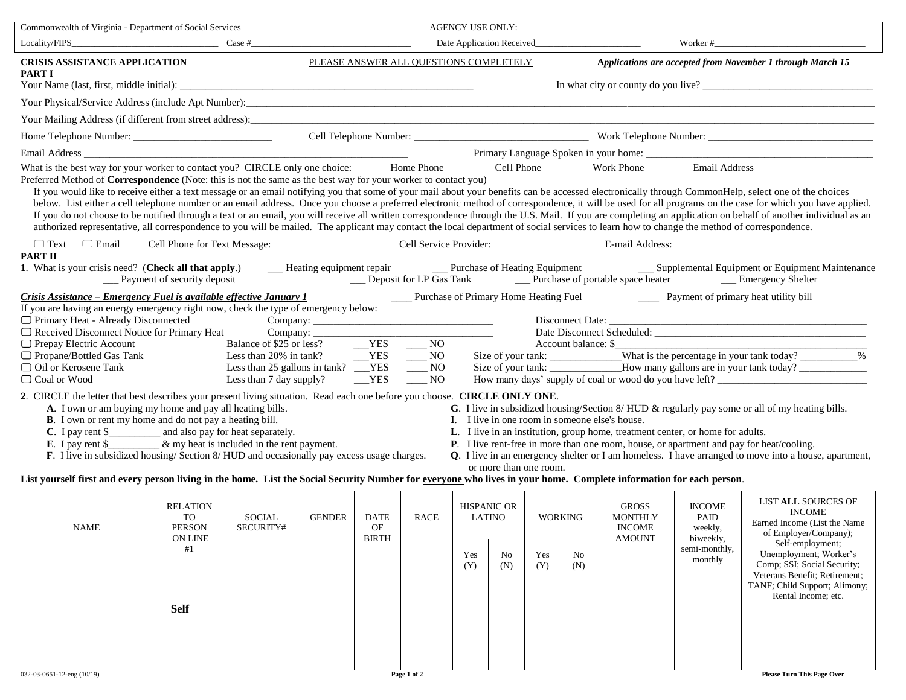| Commonwealth of Virginia - Department of Social Services                                                                                                                                                                                                                                                                                                                                                                                                                                                                                                                                                                                                                                                                                                                                                                                                                                                                                                                                                                                                                                                                                                                                                                                                                                                                                    |                                                         |                     |                                                                           |                                   |                        | <b>AGENCY USE ONLY:</b>      |           |                |                       |                                                                  |                                               |                                                                                                                                                                    |
|---------------------------------------------------------------------------------------------------------------------------------------------------------------------------------------------------------------------------------------------------------------------------------------------------------------------------------------------------------------------------------------------------------------------------------------------------------------------------------------------------------------------------------------------------------------------------------------------------------------------------------------------------------------------------------------------------------------------------------------------------------------------------------------------------------------------------------------------------------------------------------------------------------------------------------------------------------------------------------------------------------------------------------------------------------------------------------------------------------------------------------------------------------------------------------------------------------------------------------------------------------------------------------------------------------------------------------------------|---------------------------------------------------------|---------------------|---------------------------------------------------------------------------|-----------------------------------|------------------------|------------------------------|-----------|----------------|-----------------------|------------------------------------------------------------------|-----------------------------------------------|--------------------------------------------------------------------------------------------------------------------------------------------------------------------|
| $Locality/FIPS$ $Case #$                                                                                                                                                                                                                                                                                                                                                                                                                                                                                                                                                                                                                                                                                                                                                                                                                                                                                                                                                                                                                                                                                                                                                                                                                                                                                                                    |                                                         |                     | Date Application Received_<br>Worker $#$<br>the company of the company of |                                   |                        |                              |           |                |                       |                                                                  |                                               |                                                                                                                                                                    |
| PLEASE ANSWER ALL QUESTIONS COMPLETELY<br><b>CRISIS ASSISTANCE APPLICATION</b><br>Applications are accepted from November 1 through March 15<br><b>PART I</b>                                                                                                                                                                                                                                                                                                                                                                                                                                                                                                                                                                                                                                                                                                                                                                                                                                                                                                                                                                                                                                                                                                                                                                               |                                                         |                     |                                                                           |                                   |                        |                              |           |                |                       |                                                                  |                                               |                                                                                                                                                                    |
| In what city or county do you live?                                                                                                                                                                                                                                                                                                                                                                                                                                                                                                                                                                                                                                                                                                                                                                                                                                                                                                                                                                                                                                                                                                                                                                                                                                                                                                         |                                                         |                     |                                                                           |                                   |                        |                              |           |                |                       |                                                                  |                                               |                                                                                                                                                                    |
| Your Mailing Address (if different from street address):<br>1980 - Contract of Address (if different from street address):<br>2001 - Contract of Address (if different from street address):                                                                                                                                                                                                                                                                                                                                                                                                                                                                                                                                                                                                                                                                                                                                                                                                                                                                                                                                                                                                                                                                                                                                                |                                                         |                     |                                                                           |                                   |                        |                              |           |                |                       |                                                                  |                                               |                                                                                                                                                                    |
|                                                                                                                                                                                                                                                                                                                                                                                                                                                                                                                                                                                                                                                                                                                                                                                                                                                                                                                                                                                                                                                                                                                                                                                                                                                                                                                                             |                                                         |                     |                                                                           |                                   |                        |                              |           |                |                       |                                                                  |                                               |                                                                                                                                                                    |
|                                                                                                                                                                                                                                                                                                                                                                                                                                                                                                                                                                                                                                                                                                                                                                                                                                                                                                                                                                                                                                                                                                                                                                                                                                                                                                                                             |                                                         |                     |                                                                           |                                   |                        |                              |           |                |                       |                                                                  |                                               |                                                                                                                                                                    |
| Email Address and the state of the state of the state of the state of the state of the state of the state of the state of the state of the state of the state of the state of the state of the state of the state of the state<br>What is the best way for your worker to contact you? CIRCLE only one choice: Home Phone<br><b>Email Address</b><br><b>Work Phone</b><br>Cell Phone<br>Preferred Method of Correspondence (Note: this is not the same as the best way for your worker to contact you)<br>If you would like to receive either a text message or an email notifying you that some of your mail about your benefits can be accessed electronically through CommonHelp, select one of the choices<br>below. List either a cell telephone number or an email address. Once you choose a preferred electronic method of correspondence, it will be used for all programs on the case for which you have applied.<br>If you do not choose to be notified through a text or an email, you will receive all written correspondence through the U.S. Mail. If you are completing an application on behalf of another individual as an<br>authorized representative, all correspondence to you will be mailed. The applicant may contact the local department of social services to learn how to change the method of correspondence. |                                                         |                     |                                                                           |                                   |                        |                              |           |                |                       |                                                                  |                                               |                                                                                                                                                                    |
| $\Box$ Text $\Box$ Email<br><b>PART II</b>                                                                                                                                                                                                                                                                                                                                                                                                                                                                                                                                                                                                                                                                                                                                                                                                                                                                                                                                                                                                                                                                                                                                                                                                                                                                                                  | Cell Phone for Text Message:                            |                     |                                                                           |                                   | Cell Service Provider: |                              |           |                |                       | E-mail Address:                                                  |                                               |                                                                                                                                                                    |
| 1. What is your crisis need? (Check all that apply.)<br><b>Example 1</b> Payment of security deposit<br>Crisis Assistance – Emergency Fuel is available effective January 1<br><b>EXECUTE:</b> Purchase of Primary Home Heating Fuel<br><u>Late</u> Payment of primary heat utility bill<br>If you are having an energy emergency right now, check the type of emergency below:<br>□ Primary Heat - Already Disconnected<br>$\Box$ Primary Heat - Already Disconnected<br>$\Box$ Received Disconnect Notice for Primary Heat<br>Account balance: \$<br>$\Box$ Prepay Electric Account<br>□ Propane/Bottled Gas Tank                                                                                                                                                                                                                                                                                                                                                                                                                                                                                                                                                                                                                                                                                                                         |                                                         |                     |                                                                           |                                   |                        |                              |           |                |                       |                                                                  |                                               |                                                                                                                                                                    |
| □ Oil or Kerosene Tank                                                                                                                                                                                                                                                                                                                                                                                                                                                                                                                                                                                                                                                                                                                                                                                                                                                                                                                                                                                                                                                                                                                                                                                                                                                                                                                      |                                                         |                     |                                                                           |                                   |                        |                              |           |                |                       |                                                                  |                                               |                                                                                                                                                                    |
| $YES$ NO<br>□ Coal or Wood<br>Less than 7 day supply?<br>2. CIRCLE the letter that best describes your present living situation. Read each one before you choose. CIRCLE ONLY ONE.<br>A. I own or am buying my home and pay all heating bills.<br>G. I live in subsidized housing/Section 8/HUD & regularly pay some or all of my heating bills.<br><b>B</b> . I own or rent my home and do not pay a heating bill.<br>I. I live in one room in someone else's house.<br><b>C.</b> I pay rent \$ $\frac{1}{2}$ and also pay for heat separately.<br><b>E.</b> I pay rent \$ $\frac{1}{2}$ & my heat is included in the rent payment.<br>L. I live in an institution, group home, treatment center, or home for adults.<br>P. I live rent-free in more than one room, house, or apartment and pay for heat/cooling.<br>F. I live in subsidized housing/Section 8/HUD and occasionally pay excess usage charges.<br>Q. I live in an emergency shelter or I am homeless. I have arranged to move into a house, apartment,<br>or more than one room.<br>List yourself first and every person living in the home. List the Social Security Number for everyone who lives in your home. Complete information for each person.                                                                                                                     |                                                         |                     |                                                                           |                                   |                        |                              |           |                |                       |                                                                  |                                               |                                                                                                                                                                    |
| <b>NAME</b>                                                                                                                                                                                                                                                                                                                                                                                                                                                                                                                                                                                                                                                                                                                                                                                                                                                                                                                                                                                                                                                                                                                                                                                                                                                                                                                                 | <b>RELATION</b><br>TO<br><b>PERSON</b><br>ON LINE<br>#1 | SOCIAL<br>SECURITY# | <b>GENDER</b>                                                             | <b>DATE</b><br>OF<br><b>BIRTH</b> | <b>RACE</b>            | <b>HISPANIC OR</b><br>LATINO |           | <b>WORKING</b> |                       | <b>GROSS</b><br><b>MONTHLY</b><br><b>INCOME</b><br><b>AMOUNT</b> | <b>INCOME</b><br>PAID<br>weekly,<br>biweekly, | LIST ALL SOURCES OF<br><b>INCOME</b><br>Earned Income (List the Name<br>of Employer/Company);                                                                      |
|                                                                                                                                                                                                                                                                                                                                                                                                                                                                                                                                                                                                                                                                                                                                                                                                                                                                                                                                                                                                                                                                                                                                                                                                                                                                                                                                             |                                                         |                     |                                                                           |                                   |                        | Yes<br>(Y)                   | No<br>(N) | Yes<br>(Y)     | N <sub>o</sub><br>(N) |                                                                  | semi-monthly,<br>monthly                      | Self-employment;<br>Unemployment; Worker's<br>Comp; SSI; Social Security;<br>Veterans Benefit; Retirement;<br>TANF; Child Support; Alimony;<br>Rental Income; etc. |
|                                                                                                                                                                                                                                                                                                                                                                                                                                                                                                                                                                                                                                                                                                                                                                                                                                                                                                                                                                                                                                                                                                                                                                                                                                                                                                                                             | <b>Self</b>                                             |                     |                                                                           |                                   |                        |                              |           |                |                       |                                                                  |                                               |                                                                                                                                                                    |
|                                                                                                                                                                                                                                                                                                                                                                                                                                                                                                                                                                                                                                                                                                                                                                                                                                                                                                                                                                                                                                                                                                                                                                                                                                                                                                                                             |                                                         |                     |                                                                           |                                   |                        |                              |           |                |                       |                                                                  |                                               |                                                                                                                                                                    |
|                                                                                                                                                                                                                                                                                                                                                                                                                                                                                                                                                                                                                                                                                                                                                                                                                                                                                                                                                                                                                                                                                                                                                                                                                                                                                                                                             |                                                         |                     |                                                                           |                                   |                        |                              |           |                |                       |                                                                  |                                               |                                                                                                                                                                    |
| 032-03-0651-12-eng (10/19)                                                                                                                                                                                                                                                                                                                                                                                                                                                                                                                                                                                                                                                                                                                                                                                                                                                                                                                                                                                                                                                                                                                                                                                                                                                                                                                  |                                                         |                     |                                                                           |                                   | Page 1 of 2            |                              |           |                |                       |                                                                  |                                               | <b>Please Turn This Page Over</b>                                                                                                                                  |